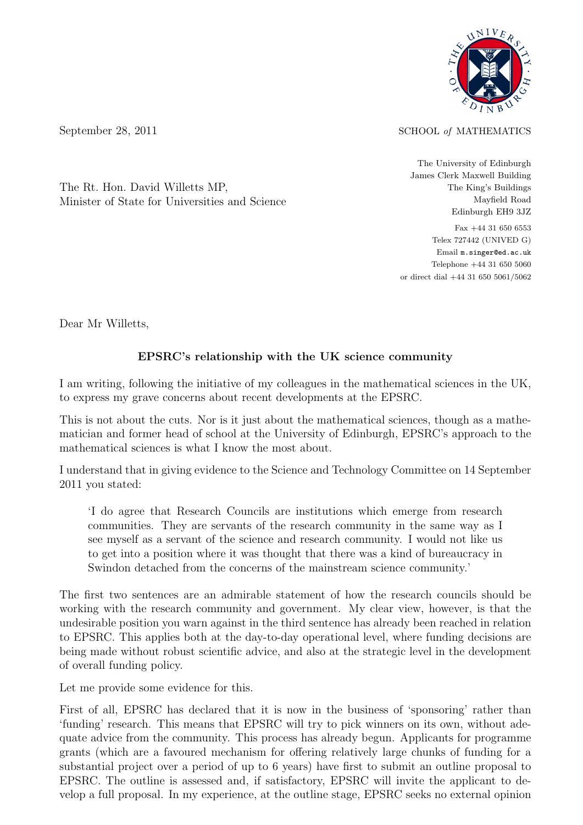

## SCHOOL of MATHEMATICS

September 28, 2011

The Rt. Hon. David Willetts MP,

Minister of State for Universities and Science

The University of Edinburgh James Clerk Maxwell Building The King's Buildings Mayfield Road Edinburgh EH9 3JZ Fax +44 31 650 6553 Telex 727442 (UNIVED G)

Email m.singer@ed.ac.uk Telephone +44 31 650 5060 or direct dial +44 31 650 5061/5062

Dear Mr Willetts,

## EPSRC's relationship with the UK science community

I am writing, following the initiative of my colleagues in the mathematical sciences in the UK, to express my grave concerns about recent developments at the EPSRC.

This is not about the cuts. Nor is it just about the mathematical sciences, though as a mathematician and former head of school at the University of Edinburgh, EPSRC's approach to the mathematical sciences is what I know the most about.

I understand that in giving evidence to the Science and Technology Committee on 14 September 2011 you stated:

'I do agree that Research Councils are institutions which emerge from research communities. They are servants of the research community in the same way as I see myself as a servant of the science and research community. I would not like us to get into a position where it was thought that there was a kind of bureaucracy in Swindon detached from the concerns of the mainstream science community.'

The first two sentences are an admirable statement of how the research councils should be working with the research community and government. My clear view, however, is that the undesirable position you warn against in the third sentence has already been reached in relation to EPSRC. This applies both at the day-to-day operational level, where funding decisions are being made without robust scientific advice, and also at the strategic level in the development of overall funding policy.

Let me provide some evidence for this.

First of all, EPSRC has declared that it is now in the business of 'sponsoring' rather than 'funding' research. This means that EPSRC will try to pick winners on its own, without adequate advice from the community. This process has already begun. Applicants for programme grants (which are a favoured mechanism for offering relatively large chunks of funding for a substantial project over a period of up to 6 years) have first to submit an outline proposal to EPSRC. The outline is assessed and, if satisfactory, EPSRC will invite the applicant to develop a full proposal. In my experience, at the outline stage, EPSRC seeks no external opinion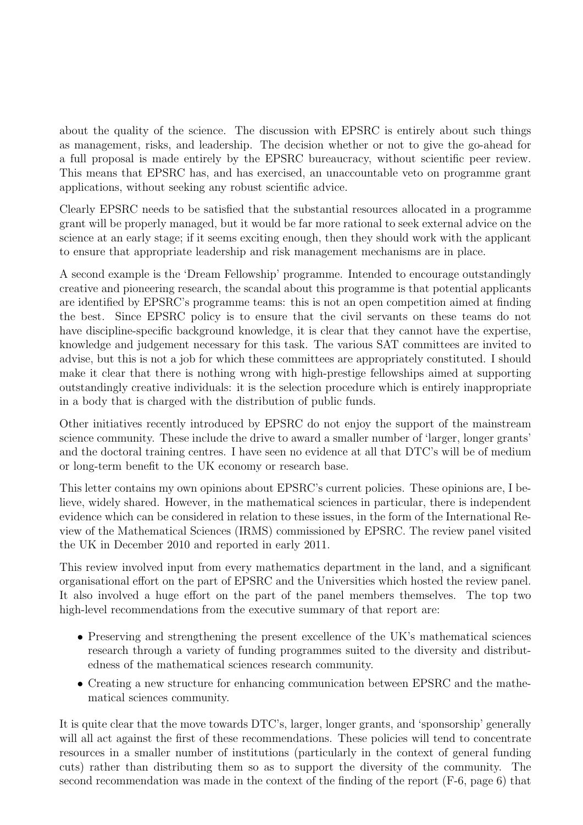about the quality of the science. The discussion with EPSRC is entirely about such things as management, risks, and leadership. The decision whether or not to give the go-ahead for a full proposal is made entirely by the EPSRC bureaucracy, without scientific peer review. This means that EPSRC has, and has exercised, an unaccountable veto on programme grant applications, without seeking any robust scientific advice.

Clearly EPSRC needs to be satisfied that the substantial resources allocated in a programme grant will be properly managed, but it would be far more rational to seek external advice on the science at an early stage; if it seems exciting enough, then they should work with the applicant to ensure that appropriate leadership and risk management mechanisms are in place.

A second example is the 'Dream Fellowship' programme. Intended to encourage outstandingly creative and pioneering research, the scandal about this programme is that potential applicants are identified by EPSRC's programme teams: this is not an open competition aimed at finding the best. Since EPSRC policy is to ensure that the civil servants on these teams do not have discipline-specific background knowledge, it is clear that they cannot have the expertise, knowledge and judgement necessary for this task. The various SAT committees are invited to advise, but this is not a job for which these committees are appropriately constituted. I should make it clear that there is nothing wrong with high-prestige fellowships aimed at supporting outstandingly creative individuals: it is the selection procedure which is entirely inappropriate in a body that is charged with the distribution of public funds.

Other initiatives recently introduced by EPSRC do not enjoy the support of the mainstream science community. These include the drive to award a smaller number of 'larger, longer grants' and the doctoral training centres. I have seen no evidence at all that DTC's will be of medium or long-term benefit to the UK economy or research base.

This letter contains my own opinions about EPSRC's current policies. These opinions are, I believe, widely shared. However, in the mathematical sciences in particular, there is independent evidence which can be considered in relation to these issues, in the form of the International Review of the Mathematical Sciences (IRMS) commissioned by EPSRC. The review panel visited the UK in December 2010 and reported in early 2011.

This review involved input from every mathematics department in the land, and a significant organisational effort on the part of EPSRC and the Universities which hosted the review panel. It also involved a huge effort on the part of the panel members themselves. The top two high-level recommendations from the executive summary of that report are:

- Preserving and strengthening the present excellence of the UK's mathematical sciences research through a variety of funding programmes suited to the diversity and distributedness of the mathematical sciences research community.
- Creating a new structure for enhancing communication between EPSRC and the mathematical sciences community.

It is quite clear that the move towards DTC's, larger, longer grants, and 'sponsorship' generally will all act against the first of these recommendations. These policies will tend to concentrate resources in a smaller number of institutions (particularly in the context of general funding cuts) rather than distributing them so as to support the diversity of the community. The second recommendation was made in the context of the finding of the report (F-6, page 6) that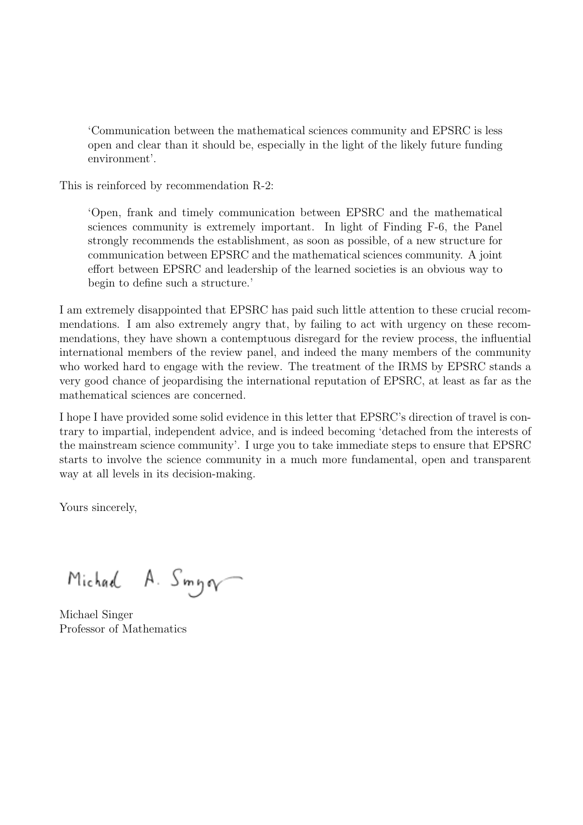'Communication between the mathematical sciences community and EPSRC is less open and clear than it should be, especially in the light of the likely future funding environment'.

This is reinforced by recommendation R-2:

'Open, frank and timely communication between EPSRC and the mathematical sciences community is extremely important. In light of Finding F-6, the Panel strongly recommends the establishment, as soon as possible, of a new structure for communication between EPSRC and the mathematical sciences community. A joint effort between EPSRC and leadership of the learned societies is an obvious way to begin to define such a structure.'

I am extremely disappointed that EPSRC has paid such little attention to these crucial recommendations. I am also extremely angry that, by failing to act with urgency on these recommendations, they have shown a contemptuous disregard for the review process, the influential international members of the review panel, and indeed the many members of the community who worked hard to engage with the review. The treatment of the IRMS by EPSRC stands a very good chance of jeopardising the international reputation of EPSRC, at least as far as the mathematical sciences are concerned.

I hope I have provided some solid evidence in this letter that EPSRC's direction of travel is contrary to impartial, independent advice, and is indeed becoming 'detached from the interests of the mainstream science community'. I urge you to take immediate steps to ensure that EPSRC starts to involve the science community in a much more fundamental, open and transparent way at all levels in its decision-making.

Yours sincerely,

Michael A. Smyr

Michael Singer Professor of Mathematics